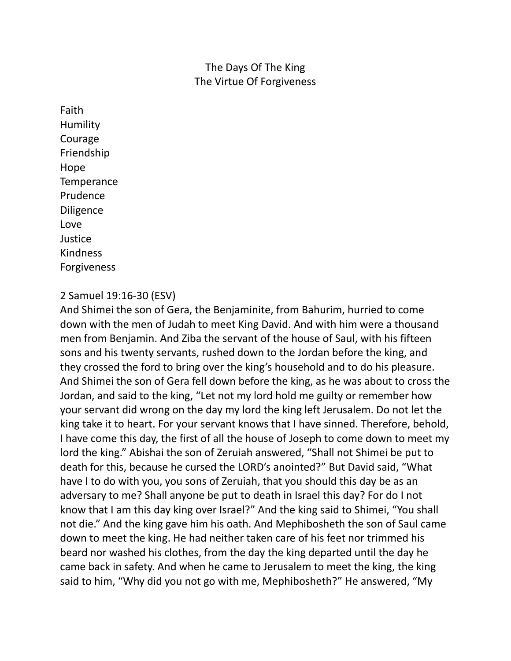# The Days Of The King The Virtue Of Forgiveness

Faith Humility Courage Friendship Hope **Temperance** Prudence Diligence Love **Justice** Kindness Forgiveness

## 2 Samuel 19:16-30 (ESV)

And Shimei the son of Gera, the Benjaminite, from Bahurim, hurried to come down with the men of Judah to meet King David. And with him were a thousand men from Benjamin. And Ziba the servant of the house of Saul, with his fifteen sons and his twenty servants, rushed down to the Jordan before the king, and they crossed the ford to bring over the king's household and to do his pleasure. And Shimei the son of Gera fell down before the king, as he was about to cross the Jordan, and said to the king, "Let not my lord hold me guilty or remember how your servant did wrong on the day my lord the king left Jerusalem. Do not let the king take it to heart. For your servant knows that I have sinned. Therefore, behold, I have come this day, the first of all the house of Joseph to come down to meet my lord the king." Abishai the son of Zeruiah answered, "Shall not Shimei be put to death for this, because he cursed the LORD's anointed?" But David said, "What have I to do with you, you sons of Zeruiah, that you should this day be as an adversary to me? Shall anyone be put to death in Israel this day? For do I not know that I am this day king over Israel?" And the king said to Shimei, "You shall not die." And the king gave him his oath. And Mephibosheth the son of Saul came down to meet the king. He had neither taken care of his feet nor trimmed his beard nor washed his clothes, from the day the king departed until the day he came back in safety. And when he came to Jerusalem to meet the king, the king said to him, "Why did you not go with me, Mephibosheth?" He answered, "My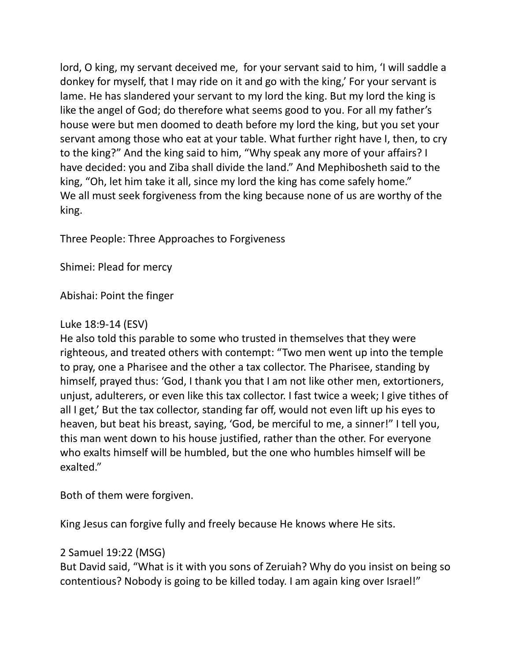lord, O king, my servant deceived me, for your servant said to him, 'I will saddle a donkey for myself, that I may ride on it and go with the king,' For your servant is lame. He has slandered your servant to my lord the king. But my lord the king is like the angel of God; do therefore what seems good to you. For all my father's house were but men doomed to death before my lord the king, but you set your servant among those who eat at your table. What further right have I, then, to cry to the king?" And the king said to him, "Why speak any more of your affairs? I have decided: you and Ziba shall divide the land." And Mephibosheth said to the king, "Oh, let him take it all, since my lord the king has come safely home." We all must seek forgiveness from the king because none of us are worthy of the king.

Three People: Three Approaches to Forgiveness

Shimei: Plead for mercy

Abishai: Point the finger

### Luke 18:9-14 (ESV)

He also told this parable to some who trusted in themselves that they were righteous, and treated others with contempt: "Two men went up into the temple to pray, one a Pharisee and the other a tax collector. The Pharisee, standing by himself, prayed thus: 'God, I thank you that I am not like other men, extortioners, unjust, adulterers, or even like this tax collector. I fast twice a week; I give tithes of all I get,' But the tax collector, standing far off, would not even lift up his eyes to heaven, but beat his breast, saying, 'God, be merciful to me, a sinner!" I tell you, this man went down to his house justified, rather than the other. For everyone who exalts himself will be humbled, but the one who humbles himself will be exalted."

Both of them were forgiven.

King Jesus can forgive fully and freely because He knows where He sits.

### 2 Samuel 19:22 (MSG)

But David said, "What is it with you sons of Zeruiah? Why do you insist on being so contentious? Nobody is going to be killed today. I am again king over Israel!"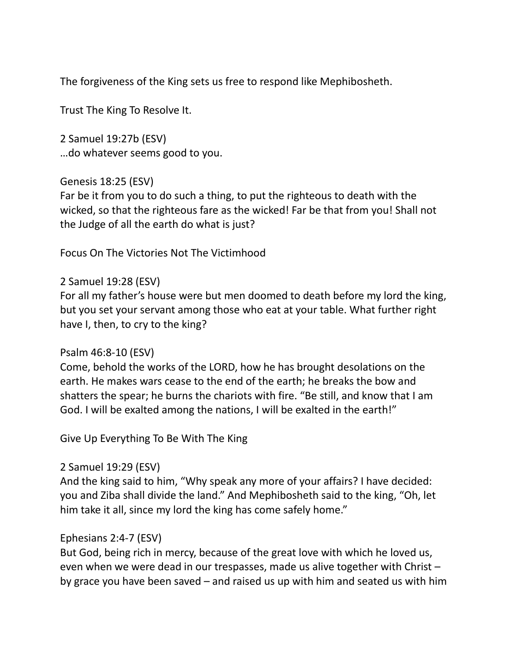The forgiveness of the King sets us free to respond like Mephibosheth.

Trust The King To Resolve It.

2 Samuel 19:27b (ESV) …do whatever seems good to you.

Genesis 18:25 (ESV)

Far be it from you to do such a thing, to put the righteous to death with the wicked, so that the righteous fare as the wicked! Far be that from you! Shall not the Judge of all the earth do what is just?

Focus On The Victories Not The Victimhood

#### 2 Samuel 19:28 (ESV)

For all my father's house were but men doomed to death before my lord the king, but you set your servant among those who eat at your table. What further right have I, then, to cry to the king?

#### Psalm 46:8-10 (ESV)

Come, behold the works of the LORD, how he has brought desolations on the earth. He makes wars cease to the end of the earth; he breaks the bow and shatters the spear; he burns the chariots with fire. "Be still, and know that I am God. I will be exalted among the nations, I will be exalted in the earth!"

Give Up Everything To Be With The King

#### 2 Samuel 19:29 (ESV)

And the king said to him, "Why speak any more of your affairs? I have decided: you and Ziba shall divide the land." And Mephibosheth said to the king, "Oh, let him take it all, since my lord the king has come safely home."

#### Ephesians 2:4-7 (ESV)

But God, being rich in mercy, because of the great love with which he loved us, even when we were dead in our trespasses, made us alive together with Christ – by grace you have been saved – and raised us up with him and seated us with him